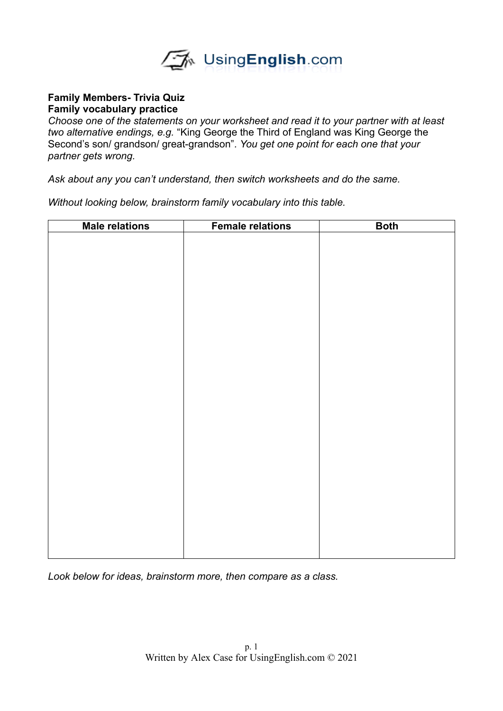

## **Family Members- Trivia Quiz Family vocabulary practice**

*Choose one of the statements on your worksheet and read it to your partner with at least two alternative endings, e.g.* "King George the Third of England was King George the Second's son/ grandson/ great-grandson"*. You get one point for each one that your partner gets wrong.* 

*Ask about any you can't understand, then switch worksheets and do the same.* 

*Without looking below, brainstorm family vocabulary into this table.*

| <b>Male relations</b> | <b>Female relations</b> | <b>Both</b> |
|-----------------------|-------------------------|-------------|
|                       |                         |             |
|                       |                         |             |
|                       |                         |             |
|                       |                         |             |
|                       |                         |             |
|                       |                         |             |
|                       |                         |             |
|                       |                         |             |
|                       |                         |             |
|                       |                         |             |
|                       |                         |             |
|                       |                         |             |
|                       |                         |             |
|                       |                         |             |
|                       |                         |             |
|                       |                         |             |
|                       |                         |             |
|                       |                         |             |
|                       |                         |             |
|                       |                         |             |
|                       |                         |             |
|                       |                         |             |
|                       |                         |             |
|                       |                         |             |
|                       |                         |             |
|                       |                         |             |
|                       |                         |             |

*Look below for ideas, brainstorm more, then compare as a class.*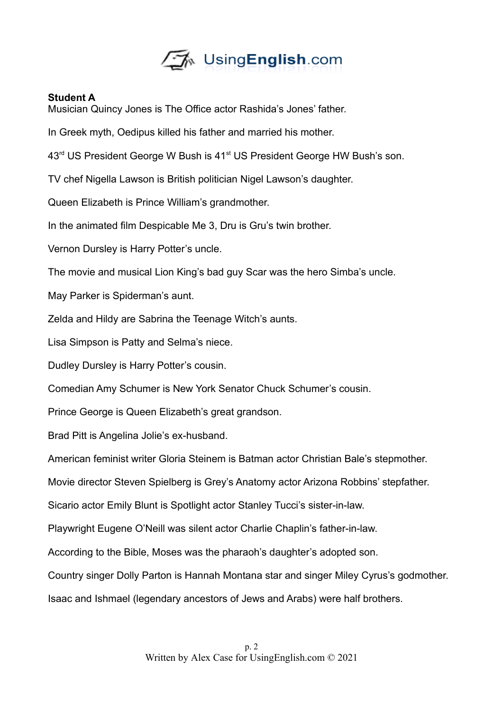

## **Student A**

Musician Quincy Jones is The Office actor Rashida's Jones' father.

In Greek myth, Oedipus killed his father and married his mother.

43<sup>rd</sup> US President George W Bush is 41<sup>st</sup> US President George HW Bush's son.

TV chef Nigella Lawson is British politician Nigel Lawson's daughter.

Queen Elizabeth is Prince William's grandmother.

In the animated film Despicable Me 3, Dru is Gru's twin brother.

Vernon Dursley is Harry Potter's uncle.

The movie and musical Lion King's bad guy Scar was the hero Simba's uncle.

May Parker is Spiderman's aunt.

Zelda and Hildy are Sabrina the Teenage Witch's aunts.

Lisa Simpson is Patty and Selma's niece.

Dudley Dursley is Harry Potter's cousin.

Comedian Amy Schumer is New York Senator Chuck Schumer's cousin.

Prince George is Queen Elizabeth's great grandson.

Brad Pitt is Angelina Jolie's ex-husband.

American feminist writer Gloria Steinem is Batman actor Christian Bale's stepmother.

Movie director Steven Spielberg is Grey's Anatomy actor Arizona Robbins' stepfather.

Sicario actor Emily Blunt is Spotlight actor Stanley Tucci's sister-in-law.

Playwright Eugene O'Neill was silent actor Charlie Chaplin's father-in-law.

According to the Bible, Moses was the pharaoh's daughter's adopted son.

Country singer Dolly Parton is Hannah Montana star and singer Miley Cyrus's godmother.

Isaac and Ishmael (legendary ancestors of Jews and Arabs) were half brothers.